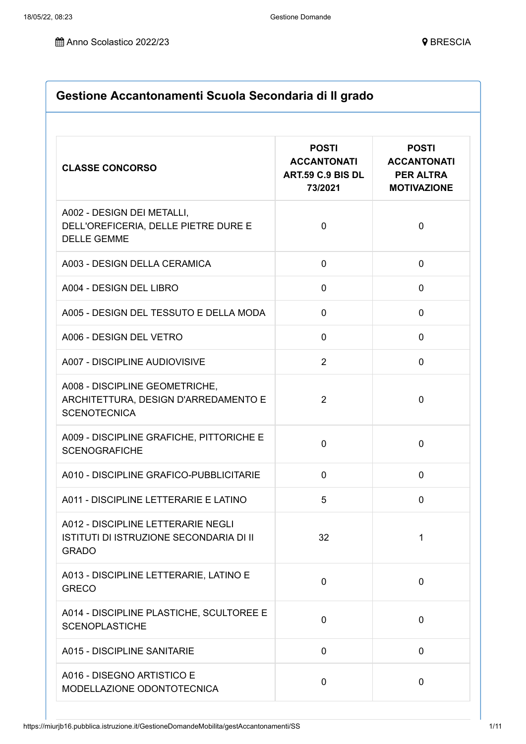| Gestione Accantonamenti Scuola Secondaria di Il grado              |                                                                              |  |
|--------------------------------------------------------------------|------------------------------------------------------------------------------|--|
| <b>POSTI</b><br><b>ACCANTONATI</b><br>ART.59 C.9 BIS DL<br>73/2021 | <b>POSTI</b><br><b>ACCANTONATI</b><br><b>PER ALTRA</b><br><b>MOTIVAZIONE</b> |  |
| $\mathbf 0$                                                        | $\mathbf 0$                                                                  |  |
| $\mathbf 0$                                                        | $\mathbf 0$                                                                  |  |
| $\mathbf 0$                                                        | $\mathbf 0$                                                                  |  |
| $\Omega$                                                           | $\mathbf 0$                                                                  |  |
| $\Omega$                                                           | 0                                                                            |  |
| $\overline{2}$                                                     | $\mathbf 0$                                                                  |  |
| $\overline{2}$                                                     | $\mathbf 0$                                                                  |  |
| $\overline{0}$                                                     | $\mathbf 0$                                                                  |  |
| $\mathbf 0$                                                        | 0                                                                            |  |
| 5                                                                  | 0                                                                            |  |
| 32                                                                 | 1                                                                            |  |
| $\mathbf 0$                                                        | $\mathbf 0$                                                                  |  |
| $\overline{0}$                                                     | $\mathbf 0$                                                                  |  |
| $\mathbf 0$                                                        | 0                                                                            |  |
| $\mathbf 0$                                                        | 0                                                                            |  |
|                                                                    |                                                                              |  |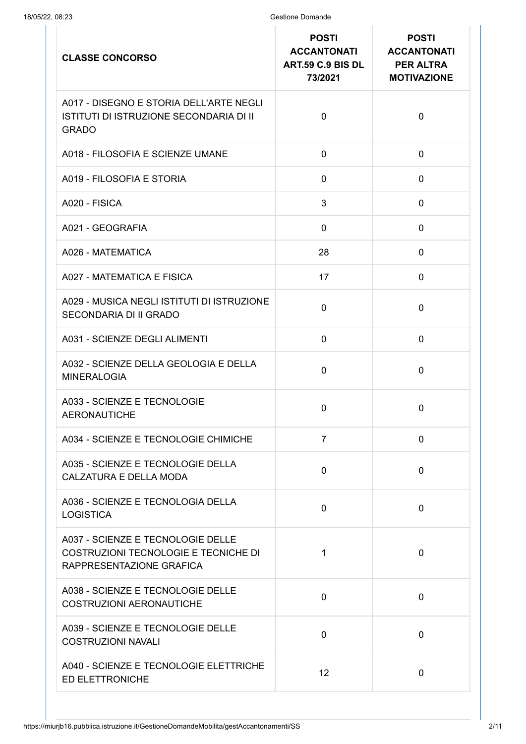| <b>CLASSE CONCORSO</b>                                                                                | <b>POSTI</b><br><b>ACCANTONATI</b><br>ART.59 C.9 BIS DL<br>73/2021 | <b>POSTI</b><br><b>ACCANTONATI</b><br><b>PER ALTRA</b><br><b>MOTIVAZIONE</b> |
|-------------------------------------------------------------------------------------------------------|--------------------------------------------------------------------|------------------------------------------------------------------------------|
| A017 - DISEGNO E STORIA DELL'ARTE NEGLI<br>ISTITUTI DI ISTRUZIONE SECONDARIA DI II<br><b>GRADO</b>    | $\mathbf{0}$                                                       | $\mathbf 0$                                                                  |
| A018 - FILOSOFIA E SCIENZE UMANE                                                                      | $\mathbf 0$                                                        | $\mathbf 0$                                                                  |
| A019 - FILOSOFIA E STORIA                                                                             | $\mathbf 0$                                                        | $\mathbf 0$                                                                  |
| A020 - FISICA                                                                                         | 3                                                                  | $\mathbf 0$                                                                  |
| A021 - GEOGRAFIA                                                                                      | $\mathbf 0$                                                        | $\mathbf 0$                                                                  |
| A026 - MATEMATICA                                                                                     | 28                                                                 | $\mathbf 0$                                                                  |
| A027 - MATEMATICA E FISICA                                                                            | 17                                                                 | $\mathbf 0$                                                                  |
| A029 - MUSICA NEGLI ISTITUTI DI ISTRUZIONE<br>SECONDARIA DI II GRADO                                  | $\mathbf 0$                                                        | $\mathbf 0$                                                                  |
| A031 - SCIENZE DEGLI ALIMENTI                                                                         | $\mathbf 0$                                                        | 0                                                                            |
| A032 - SCIENZE DELLA GEOLOGIA E DELLA<br><b>MINERALOGIA</b>                                           | $\mathbf 0$                                                        | $\mathbf 0$                                                                  |
| A033 - SCIENZE E TECNOLOGIE<br><b>AERONAUTICHE</b>                                                    | $\mathbf 0$                                                        | $\mathbf 0$                                                                  |
| A034 - SCIENZE E TECNOLOGIE CHIMICHE                                                                  | $\overline{7}$                                                     | $\mathbf 0$                                                                  |
| A035 - SCIENZE E TECNOLOGIE DELLA<br><b>CALZATURA E DELLA MODA</b>                                    | $\mathbf 0$                                                        | $\mathbf 0$                                                                  |
| A036 - SCIENZE E TECNOLOGIA DELLA<br><b>LOGISTICA</b>                                                 | $\Omega$                                                           | $\mathbf 0$                                                                  |
| A037 - SCIENZE E TECNOLOGIE DELLE<br>COSTRUZIONI TECNOLOGIE E TECNICHE DI<br>RAPPRESENTAZIONE GRAFICA | 1                                                                  | $\mathbf 0$                                                                  |
| A038 - SCIENZE E TECNOLOGIE DELLE<br><b>COSTRUZIONI AERONAUTICHE</b>                                  | $\mathbf 0$                                                        | $\overline{0}$                                                               |
| A039 - SCIENZE E TECNOLOGIE DELLE<br><b>COSTRUZIONI NAVALI</b>                                        | $\mathbf 0$                                                        | $\mathbf 0$                                                                  |
| A040 - SCIENZE E TECNOLOGIE ELETTRICHE<br>ED ELETTRONICHE                                             | 12                                                                 | $\mathbf 0$                                                                  |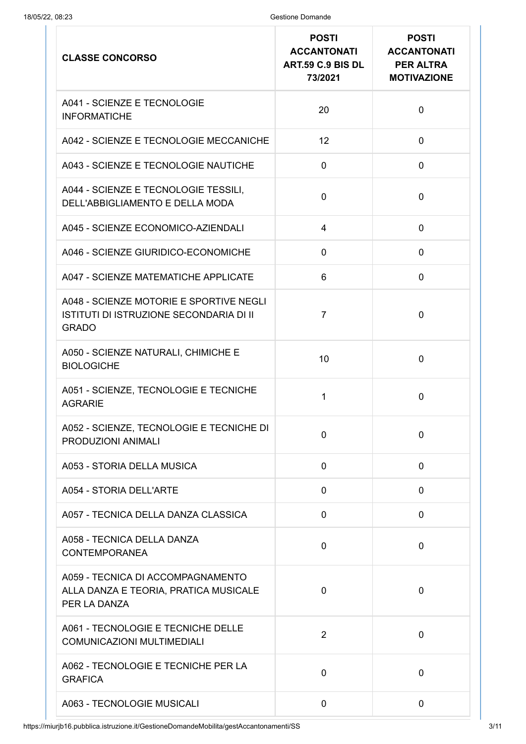| <b>CLASSE CONCORSO</b>                                                                             | <b>POSTI</b><br><b>ACCANTONATI</b><br>ART.59 C.9 BIS DL<br>73/2021 | <b>POSTI</b><br><b>ACCANTONATI</b><br><b>PER ALTRA</b><br><b>MOTIVAZIONE</b> |
|----------------------------------------------------------------------------------------------------|--------------------------------------------------------------------|------------------------------------------------------------------------------|
| A041 - SCIENZE E TECNOLOGIE<br><b>INFORMATICHE</b>                                                 | 20                                                                 | $\mathbf 0$                                                                  |
| A042 - SCIENZE E TECNOLOGIE MECCANICHE                                                             | 12                                                                 | $\mathbf 0$                                                                  |
| A043 - SCIENZE E TECNOLOGIE NAUTICHE                                                               | $\mathbf 0$                                                        | $\mathbf 0$                                                                  |
| A044 - SCIENZE E TECNOLOGIE TESSILI,<br>DELL'ABBIGLIAMENTO E DELLA MODA                            | $\mathbf 0$                                                        | $\mathbf 0$                                                                  |
| A045 - SCIENZE ECONOMICO-AZIENDALI                                                                 | $\overline{4}$                                                     | $\mathbf 0$                                                                  |
| A046 - SCIENZE GIURIDICO-ECONOMICHE                                                                | $\mathbf 0$                                                        | $\mathbf 0$                                                                  |
| A047 - SCIENZE MATEMATICHE APPLICATE                                                               | 6                                                                  | $\mathbf 0$                                                                  |
| A048 - SCIENZE MOTORIE E SPORTIVE NEGLI<br>ISTITUTI DI ISTRUZIONE SECONDARIA DI II<br><b>GRADO</b> | 7                                                                  | $\mathbf 0$                                                                  |
| A050 - SCIENZE NATURALI, CHIMICHE E<br><b>BIOLOGICHE</b>                                           | 10                                                                 | $\overline{0}$                                                               |
| A051 - SCIENZE, TECNOLOGIE E TECNICHE<br><b>AGRARIE</b>                                            | 1                                                                  | $\mathbf 0$                                                                  |
| A052 - SCIENZE, TECNOLOGIE E TECNICHE DI<br>PRODUZIONI ANIMALI                                     | $\mathbf 0$                                                        | $\mathbf 0$                                                                  |
| A053 - STORIA DELLA MUSICA                                                                         | $\mathbf 0$                                                        | $\mathbf 0$                                                                  |
| A054 - STORIA DELL'ARTE                                                                            | $\mathbf 0$                                                        | $\mathbf 0$                                                                  |
| A057 - TECNICA DELLA DANZA CLASSICA                                                                | 0                                                                  | $\mathbf 0$                                                                  |
| A058 - TECNICA DELLA DANZA<br><b>CONTEMPORANEA</b>                                                 | $\mathbf 0$                                                        | $\mathbf 0$                                                                  |
| A059 - TECNICA DI ACCOMPAGNAMENTO<br>ALLA DANZA E TEORIA, PRATICA MUSICALE<br>PER LA DANZA         | $\mathbf 0$                                                        | 0                                                                            |
| A061 - TECNOLOGIE E TECNICHE DELLE<br><b>COMUNICAZIONI MULTIMEDIALI</b>                            | $\overline{2}$                                                     | $\mathbf 0$                                                                  |
| A062 - TECNOLOGIE E TECNICHE PER LA<br><b>GRAFICA</b>                                              | $\mathbf 0$                                                        | $\mathbf 0$                                                                  |
| A063 - TECNOLOGIE MUSICALI                                                                         | 0                                                                  | $\mathbf 0$                                                                  |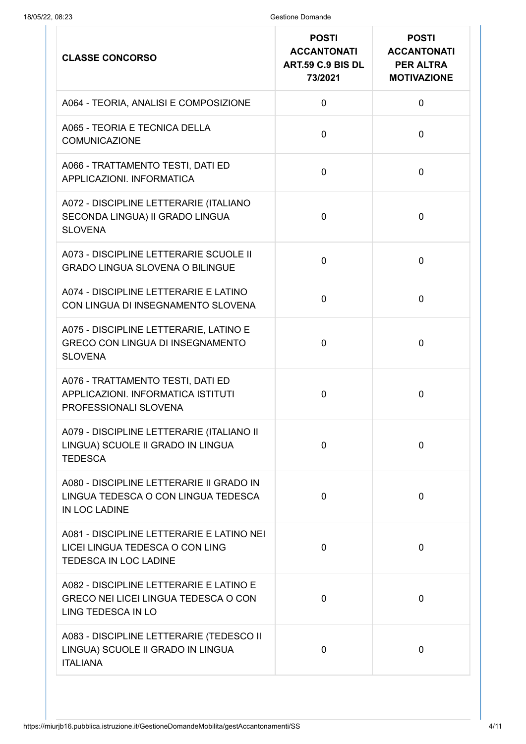| <b>CLASSE CONCORSO</b>                                                                                       | <b>POSTI</b><br><b>ACCANTONATI</b><br>ART.59 C.9 BIS DL<br>73/2021 | <b>POSTI</b><br><b>ACCANTONATI</b><br><b>PER ALTRA</b><br><b>MOTIVAZIONE</b> |
|--------------------------------------------------------------------------------------------------------------|--------------------------------------------------------------------|------------------------------------------------------------------------------|
| A064 - TEORIA, ANALISI E COMPOSIZIONE                                                                        | 0                                                                  | $\mathbf 0$                                                                  |
| A065 - TEORIA E TECNICA DELLA<br><b>COMUNICAZIONE</b>                                                        | 0                                                                  | $\mathbf 0$                                                                  |
| A066 - TRATTAMENTO TESTI, DATI ED<br>APPLICAZIONI. INFORMATICA                                               | 0                                                                  | $\overline{0}$                                                               |
| A072 - DISCIPLINE LETTERARIE (ITALIANO<br>SECONDA LINGUA) II GRADO LINGUA<br><b>SLOVENA</b>                  | 0                                                                  | $\overline{0}$                                                               |
| A073 - DISCIPLINE LETTERARIE SCUOLE II<br><b>GRADO LINGUA SLOVENA O BILINGUE</b>                             | 0                                                                  | $\mathbf 0$                                                                  |
| A074 - DISCIPLINE LETTERARIE E LATINO<br>CON LINGUA DI INSEGNAMENTO SLOVENA                                  | 0                                                                  | $\mathbf 0$                                                                  |
| A075 - DISCIPLINE LETTERARIE, LATINO E<br><b>GRECO CON LINGUA DI INSEGNAMENTO</b><br><b>SLOVENA</b>          | 0                                                                  | $\overline{0}$                                                               |
| A076 - TRATTAMENTO TESTI, DATI ED<br>APPLICAZIONI. INFORMATICA ISTITUTI<br>PROFESSIONALI SLOVENA             | 0                                                                  | $\overline{0}$                                                               |
| A079 - DISCIPLINE LETTERARIE (ITALIANO II<br>LINGUA) SCUOLE II GRADO IN LINGUA<br><b>TEDESCA</b>             | 0                                                                  | $\mathbf 0$                                                                  |
| A080 - DISCIPLINE LETTERARIE II GRADO IN<br>LINGUA TEDESCA O CON LINGUA TEDESCA<br>IN LOC LADINE             | $\mathbf 0$                                                        | $\mathbf 0$                                                                  |
| A081 - DISCIPLINE LETTERARIE E LATINO NEI<br>LICEI LINGUA TEDESCA O CON LING<br><b>TEDESCA IN LOC LADINE</b> | 0                                                                  | $\mathbf 0$                                                                  |
| A082 - DISCIPLINE LETTERARIE E LATINO E<br>GRECO NEI LICEI LINGUA TEDESCA O CON<br>LING TEDESCA IN LO        | 0                                                                  | 0                                                                            |
| A083 - DISCIPLINE LETTERARIE (TEDESCO II<br>LINGUA) SCUOLE II GRADO IN LINGUA<br><b>ITALIANA</b>             | 0                                                                  | $\mathbf 0$                                                                  |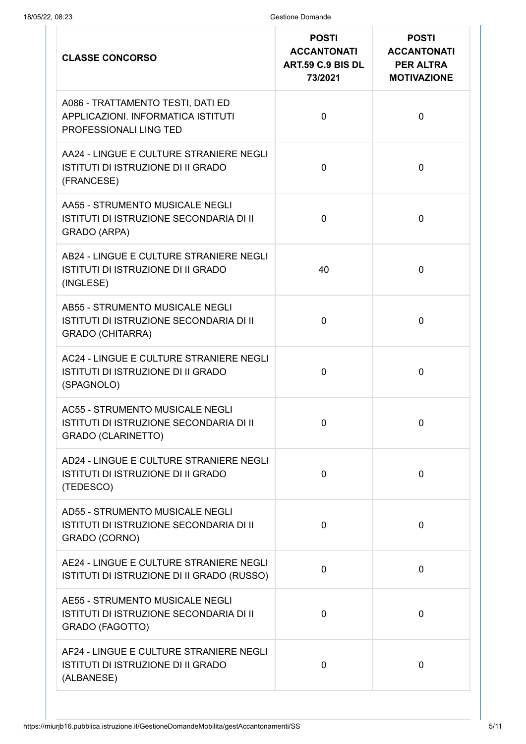| <b>CLASSE CONCORSO</b>                                                                                         | <b>POSTI</b><br><b>ACCANTONATI</b><br>ART.59 C.9 BIS DL<br>73/2021 | <b>POSTI</b><br><b>ACCANTONATI</b><br><b>PER ALTRA</b><br><b>MOTIVAZIONE</b> |
|----------------------------------------------------------------------------------------------------------------|--------------------------------------------------------------------|------------------------------------------------------------------------------|
| A086 - TRATTAMENTO TESTI, DATI ED<br>APPLICAZIONI. INFORMATICA ISTITUTI<br>PROFESSIONALI LING TED              | $\mathbf 0$                                                        | $\overline{0}$                                                               |
| AA24 - LINGUE E CULTURE STRANIERE NEGLI<br>ISTITUTI DI ISTRUZIONE DI II GRADO<br>(FRANCESE)                    | $\mathbf 0$                                                        | $\mathbf 0$                                                                  |
| AA55 - STRUMENTO MUSICALE NEGLI<br>ISTITUTI DI ISTRUZIONE SECONDARIA DI II<br><b>GRADO (ARPA)</b>              | $\Omega$                                                           | $\overline{0}$                                                               |
| AB24 - LINGUE E CULTURE STRANIERE NEGLI<br><b>ISTITUTI DI ISTRUZIONE DI II GRADO</b><br>(INGLESE)              | 40                                                                 | $\overline{0}$                                                               |
| <b>AB55 - STRUMENTO MUSICALE NEGLI</b><br>ISTITUTI DI ISTRUZIONE SECONDARIA DI II<br><b>GRADO (CHITARRA)</b>   | $\mathbf 0$                                                        | $\overline{0}$                                                               |
| AC24 - LINGUE E CULTURE STRANIERE NEGLI<br>ISTITUTI DI ISTRUZIONE DI II GRADO<br>(SPAGNOLO)                    | 0                                                                  | $\overline{0}$                                                               |
| <b>AC55 - STRUMENTO MUSICALE NEGLI</b><br>ISTITUTI DI ISTRUZIONE SECONDARIA DI II<br><b>GRADO (CLARINETTO)</b> | $\mathbf 0$                                                        | $\mathbf 0$                                                                  |
| AD24 - LINGUE E CULTURE STRANIERE NEGLI<br><b>ISTITUTI DI ISTRUZIONE DI II GRADO</b><br>(TEDESCO)              | $\mathbf 0$                                                        | $\mathbf 0$                                                                  |
| <b>AD55 - STRUMENTO MUSICALE NEGLI</b><br>ISTITUTI DI ISTRUZIONE SECONDARIA DI II<br>GRADO (CORNO)             | $\mathbf{0}$                                                       | 0                                                                            |
| AE24 - LINGUE E CULTURE STRANIERE NEGLI<br>ISTITUTI DI ISTRUZIONE DI II GRADO (RUSSO)                          | $\mathbf 0$                                                        | $\mathbf 0$                                                                  |
| <b>AE55 - STRUMENTO MUSICALE NEGLI</b><br>ISTITUTI DI ISTRUZIONE SECONDARIA DI II<br>GRADO (FAGOTTO)           | $\mathbf 0$                                                        | $\mathbf 0$                                                                  |
| AF24 - LINGUE E CULTURE STRANIERE NEGLI<br>ISTITUTI DI ISTRUZIONE DI II GRADO<br>(ALBANESE)                    | $\mathbf 0$                                                        | $\mathbf 0$                                                                  |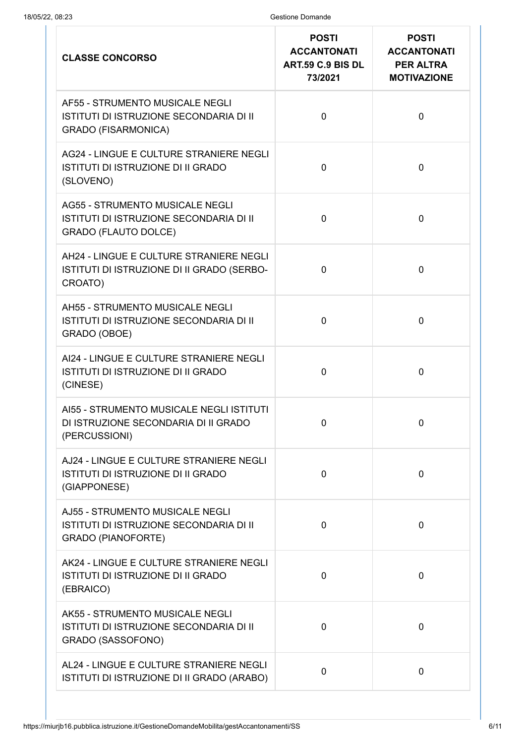| <b>CLASSE CONCORSO</b>                                                                                           | <b>POSTI</b><br><b>ACCANTONATI</b><br>ART.59 C.9 BIS DL<br>73/2021 | <b>POSTI</b><br><b>ACCANTONATI</b><br><b>PER ALTRA</b><br><b>MOTIVAZIONE</b> |
|------------------------------------------------------------------------------------------------------------------|--------------------------------------------------------------------|------------------------------------------------------------------------------|
| <b>AF55 - STRUMENTO MUSICALE NEGLI</b><br>ISTITUTI DI ISTRUZIONE SECONDARIA DI II<br><b>GRADO (FISARMONICA)</b>  | $\mathbf 0$                                                        | $\overline{0}$                                                               |
| AG24 - LINGUE E CULTURE STRANIERE NEGLI<br>ISTITUTI DI ISTRUZIONE DI II GRADO<br>(SLOVENO)                       | 0                                                                  | $\mathbf 0$                                                                  |
| <b>AG55 - STRUMENTO MUSICALE NEGLI</b><br>ISTITUTI DI ISTRUZIONE SECONDARIA DI II<br><b>GRADO (FLAUTO DOLCE)</b> | 0                                                                  | $\overline{0}$                                                               |
| AH24 - LINGUE E CULTURE STRANIERE NEGLI<br>ISTITUTI DI ISTRUZIONE DI II GRADO (SERBO-<br>CROATO)                 | $\Omega$                                                           | $\overline{0}$                                                               |
| AH55 - STRUMENTO MUSICALE NEGLI<br>ISTITUTI DI ISTRUZIONE SECONDARIA DI II<br>GRADO (OBOE)                       | 0                                                                  | $\overline{0}$                                                               |
| AI24 - LINGUE E CULTURE STRANIERE NEGLI<br><b>ISTITUTI DI ISTRUZIONE DI II GRADO</b><br>(CINESE)                 | $\mathbf 0$                                                        | $\mathbf 0$                                                                  |
| AI55 - STRUMENTO MUSICALE NEGLI ISTITUTI<br>DI ISTRUZIONE SECONDARIA DI II GRADO<br>(PERCUSSIONI)                | $\mathbf 0$                                                        | 0                                                                            |
| AJ24 - LINGUE E CULTURE STRANIERE NEGLI<br>ISTITUTI DI ISTRUZIONE DI II GRADO<br>(GIAPPONESE)                    | $\mathbf 0$                                                        | $\mathbf 0$                                                                  |
| <b>AJ55 - STRUMENTO MUSICALE NEGLI</b><br>ISTITUTI DI ISTRUZIONE SECONDARIA DI II<br><b>GRADO (PIANOFORTE)</b>   | 0                                                                  | $\mathbf 0$                                                                  |
| AK24 - LINGUE E CULTURE STRANIERE NEGLI<br>ISTITUTI DI ISTRUZIONE DI II GRADO<br>(EBRAICO)                       | 0                                                                  | $\mathbf 0$                                                                  |
| AK55 - STRUMENTO MUSICALE NEGLI<br>ISTITUTI DI ISTRUZIONE SECONDARIA DI II<br>GRADO (SASSOFONO)                  | 0                                                                  | $\mathbf 0$                                                                  |
| AL24 - LINGUE E CULTURE STRANIERE NEGLI<br>ISTITUTI DI ISTRUZIONE DI II GRADO (ARABO)                            | $\mathbf 0$                                                        | $\mathbf 0$                                                                  |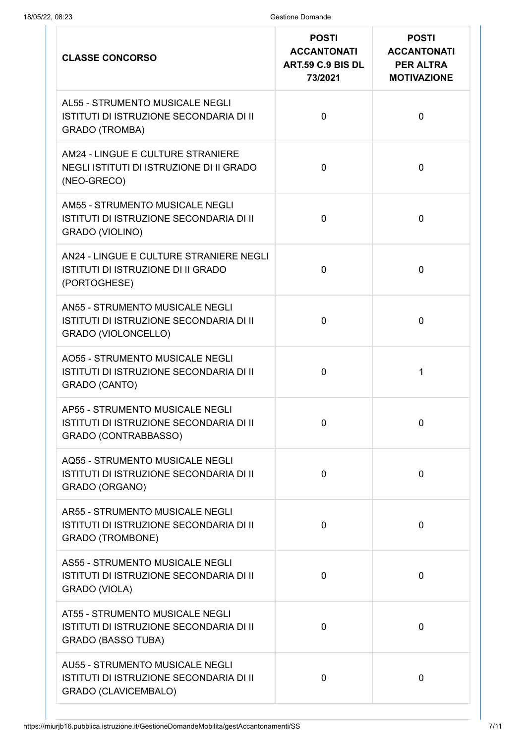| <b>CLASSE CONCORSO</b>                                                                                           | <b>POSTI</b><br><b>ACCANTONATI</b><br>ART.59 C.9 BIS DL<br>73/2021 | <b>POSTI</b><br><b>ACCANTONATI</b><br><b>PER ALTRA</b><br><b>MOTIVAZIONE</b> |
|------------------------------------------------------------------------------------------------------------------|--------------------------------------------------------------------|------------------------------------------------------------------------------|
| <b>AL55 - STRUMENTO MUSICALE NEGLI</b><br>ISTITUTI DI ISTRUZIONE SECONDARIA DI II<br><b>GRADO (TROMBA)</b>       | $\mathbf 0$                                                        | $\mathbf 0$                                                                  |
| AM24 - LINGUE E CULTURE STRANIERE<br>NEGLI ISTITUTI DI ISTRUZIONE DI II GRADO<br>(NEO-GRECO)                     | $\mathbf 0$                                                        | $\mathbf 0$                                                                  |
| AM55 - STRUMENTO MUSICALE NEGLI<br>ISTITUTI DI ISTRUZIONE SECONDARIA DI II<br>GRADO (VIOLINO)                    | $\mathbf 0$                                                        | $\overline{0}$                                                               |
| AN24 - LINGUE E CULTURE STRANIERE NEGLI<br><b>ISTITUTI DI ISTRUZIONE DI II GRADO</b><br>(PORTOGHESE)             | $\overline{0}$                                                     | $\overline{0}$                                                               |
| <b>AN55 - STRUMENTO MUSICALE NEGLI</b><br>ISTITUTI DI ISTRUZIONE SECONDARIA DI II<br><b>GRADO (VIOLONCELLO)</b>  | $\mathbf 0$                                                        | $\overline{0}$                                                               |
| <b>AO55 - STRUMENTO MUSICALE NEGLI</b><br>ISTITUTI DI ISTRUZIONE SECONDARIA DI II<br>GRADO (CANTO)               | $\mathbf 0$                                                        | 1                                                                            |
| <b>AP55 - STRUMENTO MUSICALE NEGLI</b><br>ISTITUTI DI ISTRUZIONE SECONDARIA DI II<br>GRADO (CONTRABBASSO)        | $\mathbf 0$                                                        | 0                                                                            |
| <b>AQ55 - STRUMENTO MUSICALE NEGLI</b><br>ISTITUTI DI ISTRUZIONE SECONDARIA DI II<br>GRADO (ORGANO)              | 0                                                                  | $\mathbf 0$                                                                  |
| <b>AR55 - STRUMENTO MUSICALE NEGLI</b><br>ISTITUTI DI ISTRUZIONE SECONDARIA DI II<br><b>GRADO (TROMBONE)</b>     | 0                                                                  | $\mathbf 0$                                                                  |
| <b>AS55 - STRUMENTO MUSICALE NEGLI</b><br>ISTITUTI DI ISTRUZIONE SECONDARIA DI II<br><b>GRADO (VIOLA)</b>        | 0                                                                  | $\mathbf 0$                                                                  |
| <b>AT55 - STRUMENTO MUSICALE NEGLI</b><br>ISTITUTI DI ISTRUZIONE SECONDARIA DI II<br><b>GRADO (BASSO TUBA)</b>   | 0                                                                  | $\overline{0}$                                                               |
| <b>AU55 - STRUMENTO MUSICALE NEGLI</b><br>ISTITUTI DI ISTRUZIONE SECONDARIA DI II<br><b>GRADO (CLAVICEMBALO)</b> | 0                                                                  | $\mathbf 0$                                                                  |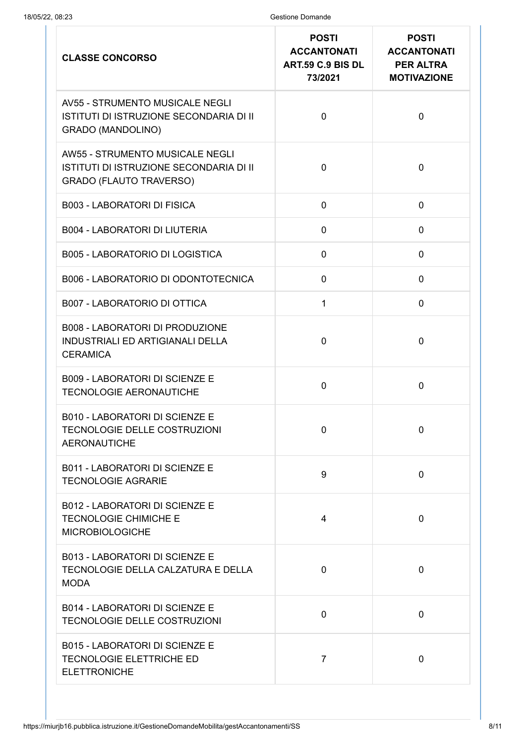| <b>CLASSE CONCORSO</b>                                                                                              | <b>POSTI</b><br><b>ACCANTONATI</b><br>ART.59 C.9 BIS DL<br>73/2021 | <b>POSTI</b><br><b>ACCANTONATI</b><br><b>PER ALTRA</b><br><b>MOTIVAZIONE</b> |
|---------------------------------------------------------------------------------------------------------------------|--------------------------------------------------------------------|------------------------------------------------------------------------------|
| <b>AV55 - STRUMENTO MUSICALE NEGLI</b><br>ISTITUTI DI ISTRUZIONE SECONDARIA DI II<br><b>GRADO (MANDOLINO)</b>       | $\mathbf 0$                                                        | $\overline{0}$                                                               |
| <b>AW55 - STRUMENTO MUSICALE NEGLI</b><br>ISTITUTI DI ISTRUZIONE SECONDARIA DI II<br><b>GRADO (FLAUTO TRAVERSO)</b> | $\mathbf 0$                                                        | $\overline{0}$                                                               |
| <b>B003 - LABORATORI DI FISICA</b>                                                                                  | $\mathbf 0$                                                        | $\mathbf 0$                                                                  |
| <b>B004 - LABORATORI DI LIUTERIA</b>                                                                                | $\mathbf 0$                                                        | $\mathbf 0$                                                                  |
| <b>B005 - LABORATORIO DI LOGISTICA</b>                                                                              | 0                                                                  | $\mathbf 0$                                                                  |
| B006 - LABORATORIO DI ODONTOTECNICA                                                                                 | $\mathbf 0$                                                        | $\overline{0}$                                                               |
| <b>B007 - LABORATORIO DI OTTICA</b>                                                                                 | $\mathbf{1}$                                                       | $\mathbf 0$                                                                  |
| <b>B008 - LABORATORI DI PRODUZIONE</b><br><b>INDUSTRIALI ED ARTIGIANALI DELLA</b><br><b>CERAMICA</b>                | $\mathbf 0$                                                        | $\overline{0}$                                                               |
| <b>B009 - LABORATORI DI SCIENZE E</b><br><b>TECNOLOGIE AERONAUTICHE</b>                                             | $\overline{0}$                                                     | $\overline{0}$                                                               |
| <b>B010 - LABORATORI DI SCIENZE E</b><br>TECNOLOGIE DELLE COSTRUZIONI<br><b>AERONAUTICHE</b>                        | $\mathbf 0$                                                        | $\mathbf 0$                                                                  |
| <b>B011 - LABORATORI DI SCIENZE E</b><br><b>TECNOLOGIE AGRARIE</b>                                                  | 9                                                                  | $\overline{0}$                                                               |
| <b>B012 - LABORATORI DI SCIENZE E</b><br><b>TECNOLOGIE CHIMICHE E</b><br><b>MICROBIOLOGICHE</b>                     | 4                                                                  | $\mathbf 0$                                                                  |
| <b>B013 - LABORATORI DI SCIENZE E</b><br>TECNOLOGIE DELLA CALZATURA E DELLA<br><b>MODA</b>                          | $\overline{0}$                                                     | $\overline{0}$                                                               |
| <b>B014 - LABORATORI DI SCIENZE E</b><br>TECNOLOGIE DELLE COSTRUZIONI                                               | $\mathbf 0$                                                        | $\overline{0}$                                                               |
| <b>B015 - LABORATORI DI SCIENZE E</b><br>TECNOLOGIE ELETTRICHE ED<br><b>ELETTRONICHE</b>                            | $\overline{7}$                                                     | $\overline{0}$                                                               |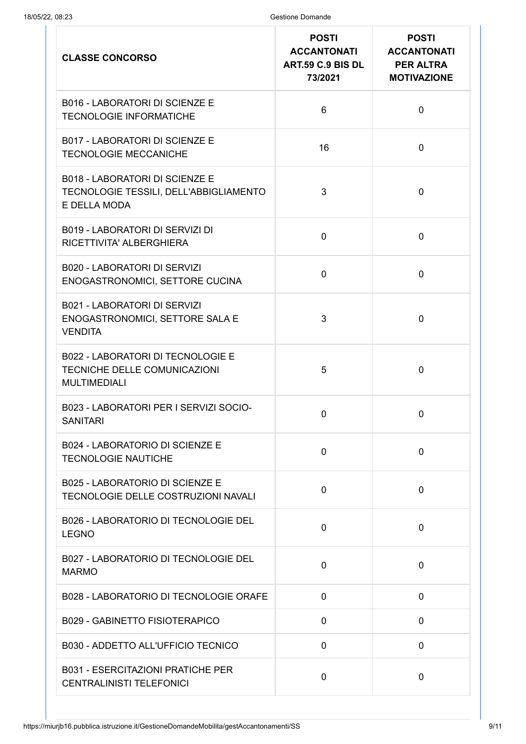| <b>CLASSE CONCORSO</b>                                                                          | <b>POSTI</b><br><b>ACCANTONATI</b><br>ART.59 C.9 BIS DL<br>73/2021 | <b>POSTI</b><br><b>ACCANTONATI</b><br><b>PER ALTRA</b><br><b>MOTIVAZIONE</b> |
|-------------------------------------------------------------------------------------------------|--------------------------------------------------------------------|------------------------------------------------------------------------------|
| <b>B016 - LABORATORI DI SCIENZE E</b><br><b>TECNOLOGIE INFORMATICHE</b>                         | 6                                                                  | $\mathbf 0$                                                                  |
| <b>B017 - LABORATORI DI SCIENZE E</b><br><b>TECNOLOGIE MECCANICHE</b>                           | 16                                                                 | $\mathbf 0$                                                                  |
| <b>B018 - LABORATORI DI SCIENZE E</b><br>TECNOLOGIE TESSILI, DELL'ABBIGLIAMENTO<br>E DELLA MODA | 3                                                                  | $\mathbf 0$                                                                  |
| <b>B019 - LABORATORI DI SERVIZI DI</b><br>RICETTIVITA' ALBERGHIERA                              | $\mathbf 0$                                                        | $\mathbf 0$                                                                  |
| <b>B020 - LABORATORI DI SERVIZI</b><br>ENOGASTRONOMICI, SETTORE CUCINA                          | $\mathbf 0$                                                        | $\mathbf 0$                                                                  |
| <b>B021 - LABORATORI DI SERVIZI</b><br>ENOGASTRONOMICI, SETTORE SALA E<br><b>VENDITA</b>        | 3                                                                  | $\mathbf 0$                                                                  |
| <b>B022 - LABORATORI DI TECNOLOGIE E</b><br>TECNICHE DELLE COMUNICAZIONI<br><b>MULTIMEDIALI</b> | 5                                                                  | $\mathbf 0$                                                                  |
| B023 - LABORATORI PER I SERVIZI SOCIO-<br><b>SANITARI</b>                                       | $\mathbf 0$                                                        | 0                                                                            |
| B024 - LABORATORIO DI SCIENZE E<br><b>TECNOLOGIE NAUTICHE</b>                                   | $\mathbf 0$                                                        | $\mathbf 0$                                                                  |
| B025 - LABORATORIO DI SCIENZE E<br>TECNOLOGIE DELLE COSTRUZIONI NAVALI                          | $\mathbf 0$                                                        | 0                                                                            |
| B026 - LABORATORIO DI TECNOLOGIE DEL<br><b>LEGNO</b>                                            | $\mathbf 0$                                                        | $\mathbf 0$                                                                  |
| B027 - LABORATORIO DI TECNOLOGIE DEL<br><b>MARMO</b>                                            | $\mathbf 0$                                                        | $\mathbf 0$                                                                  |
| B028 - LABORATORIO DI TECNOLOGIE ORAFE                                                          | $\mathbf 0$                                                        | $\mathbf 0$                                                                  |
| <b>B029 - GABINETTO FISIOTERAPICO</b>                                                           | $\mathbf 0$                                                        | 0                                                                            |
| B030 - ADDETTO ALL'UFFICIO TECNICO                                                              | $\mathbf 0$                                                        | $\mathbf 0$                                                                  |
| <b>B031 - ESERCITAZIONI PRATICHE PER</b><br><b>CENTRALINISTI TELEFONICI</b>                     | $\mathbf 0$                                                        | $\mathbf 0$                                                                  |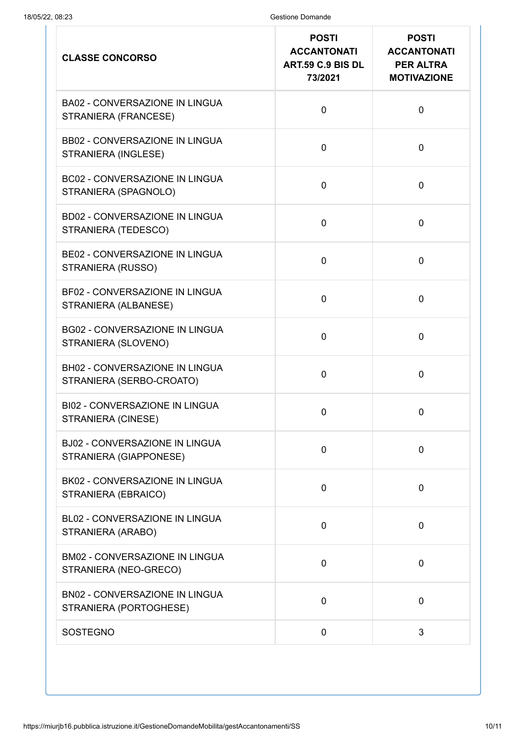| <b>CLASSE CONCORSO</b>                                          | <b>POSTI</b><br><b>ACCANTONATI</b><br>ART.59 C.9 BIS DL<br>73/2021 | <b>POSTI</b><br><b>ACCANTONATI</b><br><b>PER ALTRA</b><br><b>MOTIVAZIONE</b> |
|-----------------------------------------------------------------|--------------------------------------------------------------------|------------------------------------------------------------------------------|
| <b>BA02 - CONVERSAZIONE IN LINGUA</b><br>STRANIERA (FRANCESE)   | $\mathbf 0$                                                        | $\overline{0}$                                                               |
| <b>BB02 - CONVERSAZIONE IN LINGUA</b><br>STRANIERA (INGLESE)    | $\mathbf 0$                                                        | $\overline{0}$                                                               |
| <b>BC02 - CONVERSAZIONE IN LINGUA</b><br>STRANIERA (SPAGNOLO)   | $\mathbf 0$                                                        | $\mathbf 0$                                                                  |
| <b>BD02 - CONVERSAZIONE IN LINGUA</b><br>STRANIERA (TEDESCO)    | $\mathbf 0$                                                        | $\overline{0}$                                                               |
| <b>BE02 - CONVERSAZIONE IN LINGUA</b><br>STRANIERA (RUSSO)      | $\mathbf 0$                                                        | $\overline{0}$                                                               |
| <b>BF02 - CONVERSAZIONE IN LINGUA</b><br>STRANIERA (ALBANESE)   | $\mathbf 0$                                                        | $\overline{0}$                                                               |
| <b>BG02 - CONVERSAZIONE IN LINGUA</b><br>STRANIERA (SLOVENO)    | $\mathbf 0$                                                        | $\mathbf 0$                                                                  |
| BH02 - CONVERSAZIONE IN LINGUA<br>STRANIERA (SERBO-CROATO)      | $\mathbf 0$                                                        | $\mathbf 0$                                                                  |
| <b>BI02 - CONVERSAZIONE IN LINGUA</b><br>STRANIERA (CINESE)     | $\mathbf 0$                                                        | 0                                                                            |
| <b>BJ02 - CONVERSAZIONE IN LINGUA</b><br>STRANIERA (GIAPPONESE) | $\mathbf 0$                                                        | $\mathbf 0$                                                                  |
| BK02 - CONVERSAZIONE IN LINGUA<br>STRANIERA (EBRAICO)           | $\mathbf 0$                                                        | $\mathbf 0$                                                                  |
| BL02 - CONVERSAZIONE IN LINGUA<br>STRANIERA (ARABO)             | $\mathbf 0$                                                        | $\mathbf 0$                                                                  |
| <b>BM02 - CONVERSAZIONE IN LINGUA</b><br>STRANIERA (NEO-GRECO)  | $\mathbf 0$                                                        | $\mathbf 0$                                                                  |
| <b>BN02 - CONVERSAZIONE IN LINGUA</b><br>STRANIERA (PORTOGHESE) | $\mathbf 0$                                                        | $\mathbf 0$                                                                  |
| <b>SOSTEGNO</b>                                                 | $\mathbf 0$                                                        | 3                                                                            |